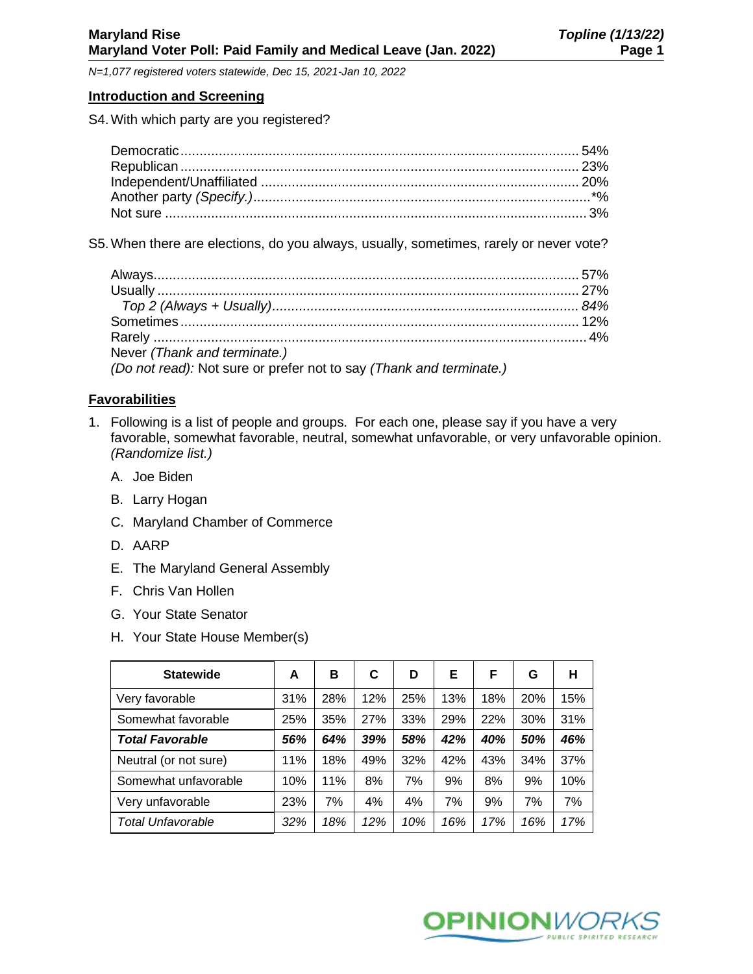#### **Introduction and Screening**

S4.With which party are you registered?

S5.When there are elections, do you always, usually, sometimes, rarely or never vote?

| Never (Thank and terminate.)                                        |  |
|---------------------------------------------------------------------|--|
| (Do not read): Not sure or prefer not to say (Thank and terminate.) |  |

# **Favorabilities**

- 1. Following is a list of people and groups. For each one, please say if you have a very favorable, somewhat favorable, neutral, somewhat unfavorable, or very unfavorable opinion. *(Randomize list.)*
	- A. Joe Biden
	- B. Larry Hogan
	- C. Maryland Chamber of Commerce
	- D. AARP
	- E. The Maryland General Assembly
	- F. Chris Van Hollen
	- G. Your State Senator
	- H. Your State House Member(s)

| <b>Statewide</b>         | A   | в   | C   | D   | Е   | F   | G          | н   |
|--------------------------|-----|-----|-----|-----|-----|-----|------------|-----|
| Very favorable           | 31% | 28% | 12% | 25% | 13% | 18% | <b>20%</b> | 15% |
| Somewhat favorable       | 25% | 35% | 27% | 33% | 29% | 22% | 30%        | 31% |
| <b>Total Favorable</b>   | 56% | 64% | 39% | 58% | 42% | 40% | 50%        | 46% |
| Neutral (or not sure)    | 11% | 18% | 49% | 32% | 42% | 43% | 34%        | 37% |
| Somewhat unfavorable     | 10% | 11% | 8%  | 7%  | 9%  | 8%  | 9%         | 10% |
| Very unfavorable         | 23% | 7%  | 4%  | 4%  | 7%  | 9%  | 7%         | 7%  |
| <b>Total Unfavorable</b> | 32% | 18% | 12% | 10% | 16% | 17% | 16%        | 17% |

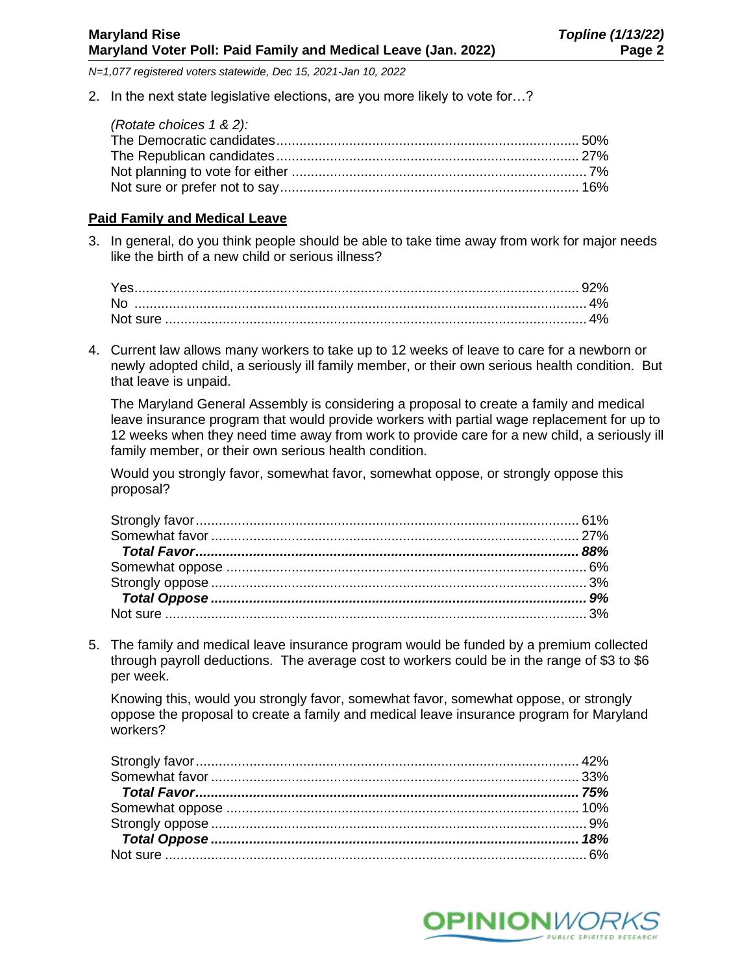2. In the next state legislative elections, are you more likely to vote for…?

| (Rotate choices 1 & 2): |  |
|-------------------------|--|
|                         |  |
|                         |  |
|                         |  |
|                         |  |

### **Paid Family and Medical Leave**

3. In general, do you think people should be able to take time away from work for major needs like the birth of a new child or serious illness?

4. Current law allows many workers to take up to 12 weeks of leave to care for a newborn or newly adopted child, a seriously ill family member, or their own serious health condition. But that leave is unpaid.

The Maryland General Assembly is considering a proposal to create a family and medical leave insurance program that would provide workers with partial wage replacement for up to 12 weeks when they need time away from work to provide care for a new child, a seriously ill family member, or their own serious health condition.

Would you strongly favor, somewhat favor, somewhat oppose, or strongly oppose this proposal?

5. The family and medical leave insurance program would be funded by a premium collected through payroll deductions. The average cost to workers could be in the range of \$3 to \$6 per week.

Knowing this, would you strongly favor, somewhat favor, somewhat oppose, or strongly oppose the proposal to create a family and medical leave insurance program for Maryland workers?

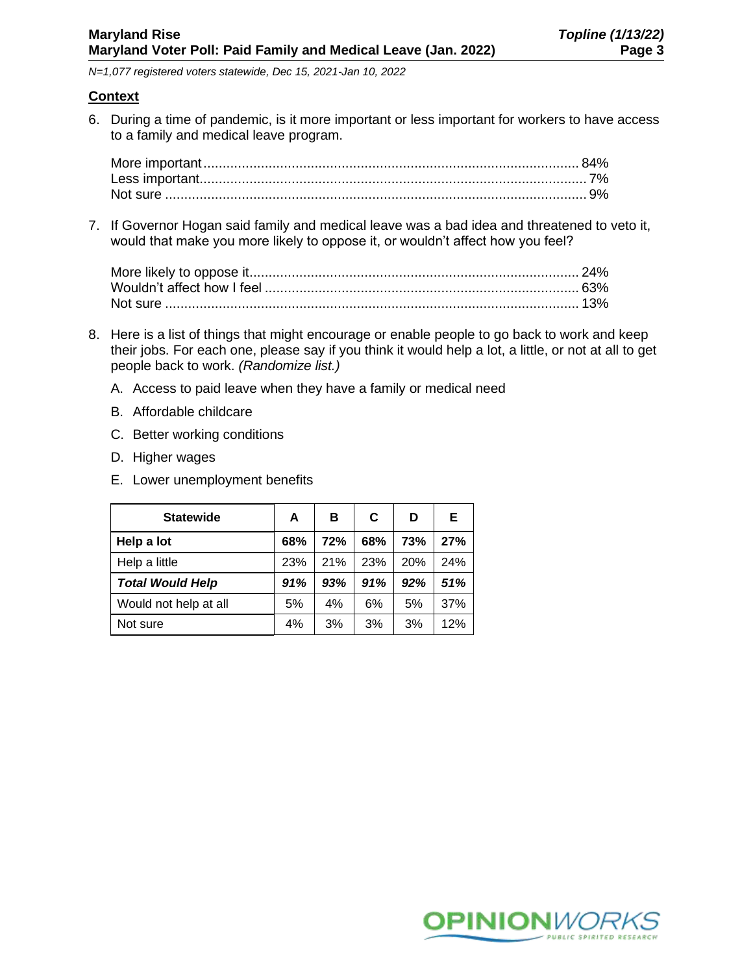## **Context**

6. During a time of pandemic, is it more important or less important for workers to have access to a family and medical leave program.

7. If Governor Hogan said family and medical leave was a bad idea and threatened to veto it, would that make you more likely to oppose it, or wouldn't affect how you feel?

- 8. Here is a list of things that might encourage or enable people to go back to work and keep their jobs. For each one, please say if you think it would help a lot, a little, or not at all to get people back to work. *(Randomize list.)*
	- A. Access to paid leave when they have a family or medical need
	- B. Affordable childcare
	- C. Better working conditions
	- D. Higher wages
	- E. Lower unemployment benefits

| <b>Statewide</b>        | A   | в   | C   | D   | Е   |
|-------------------------|-----|-----|-----|-----|-----|
| Help a lot              | 68% | 72% | 68% | 73% | 27% |
| Help a little           | 23% | 21% | 23% | 20% | 24% |
| <b>Total Would Help</b> | 91% | 93% | 91% | 92% | 51% |
| Would not help at all   | 5%  | 4%  | 6%  | 5%  | 37% |
| Not sure                | 4%  | 3%  | 3%  | 3%  | 12% |

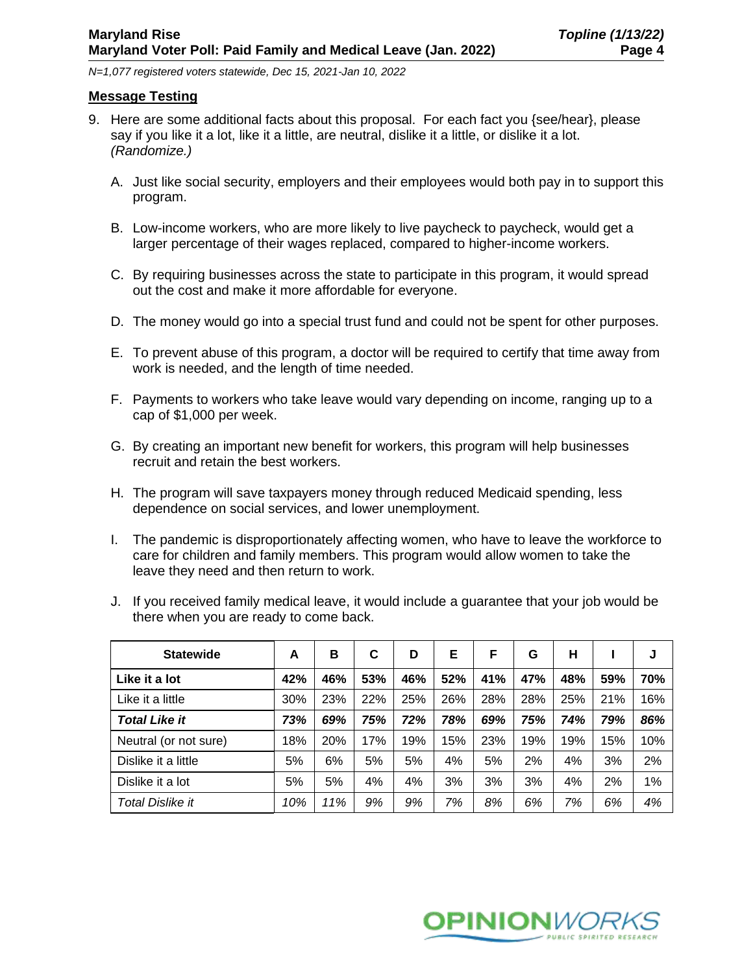### **Message Testing**

- 9. Here are some additional facts about this proposal. For each fact you {see/hear}, please say if you like it a lot, like it a little, are neutral, dislike it a little, or dislike it a lot. *(Randomize.)*
	- A. Just like social security, employers and their employees would both pay in to support this program.
	- B. Low-income workers, who are more likely to live paycheck to paycheck, would get a larger percentage of their wages replaced, compared to higher-income workers.
	- C. By requiring businesses across the state to participate in this program, it would spread out the cost and make it more affordable for everyone.
	- D. The money would go into a special trust fund and could not be spent for other purposes.
	- E. To prevent abuse of this program, a doctor will be required to certify that time away from work is needed, and the length of time needed.
	- F. Payments to workers who take leave would vary depending on income, ranging up to a cap of \$1,000 per week.
	- G. By creating an important new benefit for workers, this program will help businesses recruit and retain the best workers.
	- H. The program will save taxpayers money through reduced Medicaid spending, less dependence on social services, and lower unemployment.
	- I. The pandemic is disproportionately affecting women, who have to leave the workforce to care for children and family members. This program would allow women to take the leave they need and then return to work.

| <b>Statewide</b>      | A   | в   | C   | D   | Е   | F   | G   | н   |     | J   |
|-----------------------|-----|-----|-----|-----|-----|-----|-----|-----|-----|-----|
| Like it a lot         | 42% | 46% | 53% | 46% | 52% | 41% | 47% | 48% | 59% | 70% |
| Like it a little      | 30% | 23% | 22% | 25% | 26% | 28% | 28% | 25% | 21% | 16% |
| <b>Total Like it</b>  | 73% | 69% | 75% | 72% | 78% | 69% | 75% | 74% | 79% | 86% |
| Neutral (or not sure) | 18% | 20% | 17% | 19% | 15% | 23% | 19% | 19% | 15% | 10% |
| Dislike it a little   | 5%  | 6%  | 5%  | 5%  | 4%  | 5%  | 2%  | 4%  | 3%  | 2%  |
| Dislike it a lot      | 5%  | 5%  | 4%  | 4%  | 3%  | 3%  | 3%  | 4%  | 2%  | 1%  |
| Total Dislike it      | 10% | 11% | 9%  | 9%  | 7%  | 8%  | 6%  | 7%  | 6%  | 4%  |

J. If you received family medical leave, it would include a guarantee that your job would be there when you are ready to come back.

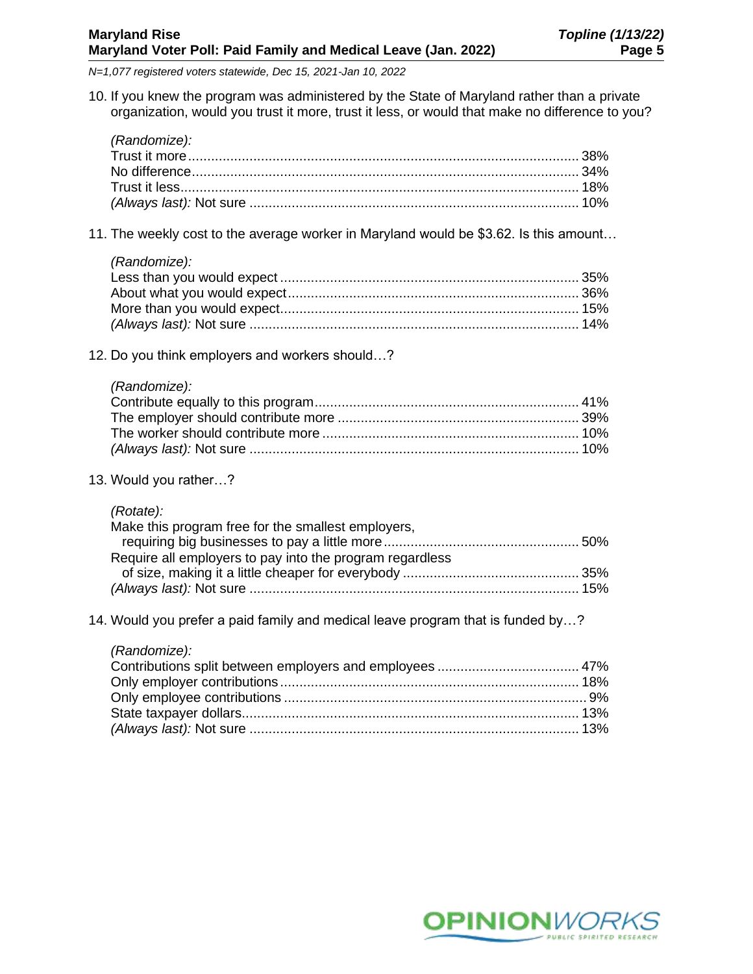10. If you knew the program was administered by the State of Maryland rather than a private organization, would you trust it more, trust it less, or would that make no difference to you?

| (Randomize): |  |
|--------------|--|
|              |  |
|              |  |
|              |  |
|              |  |

- 11. The weekly cost to the average worker in Maryland would be \$3.62. Is this amount…
	- *(Randomize):*

- 12. Do you think employers and workers should…?
	- *(Randomize):*

13. Would you rather…?

| (Rotate):                                                |  |
|----------------------------------------------------------|--|
| Make this program free for the smallest employers,       |  |
|                                                          |  |
| Require all employers to pay into the program regardless |  |
|                                                          |  |
|                                                          |  |

14. Would you prefer a paid family and medical leave program that is funded by…?

| (Randomize): |  |
|--------------|--|
|              |  |
|              |  |
|              |  |
|              |  |
|              |  |

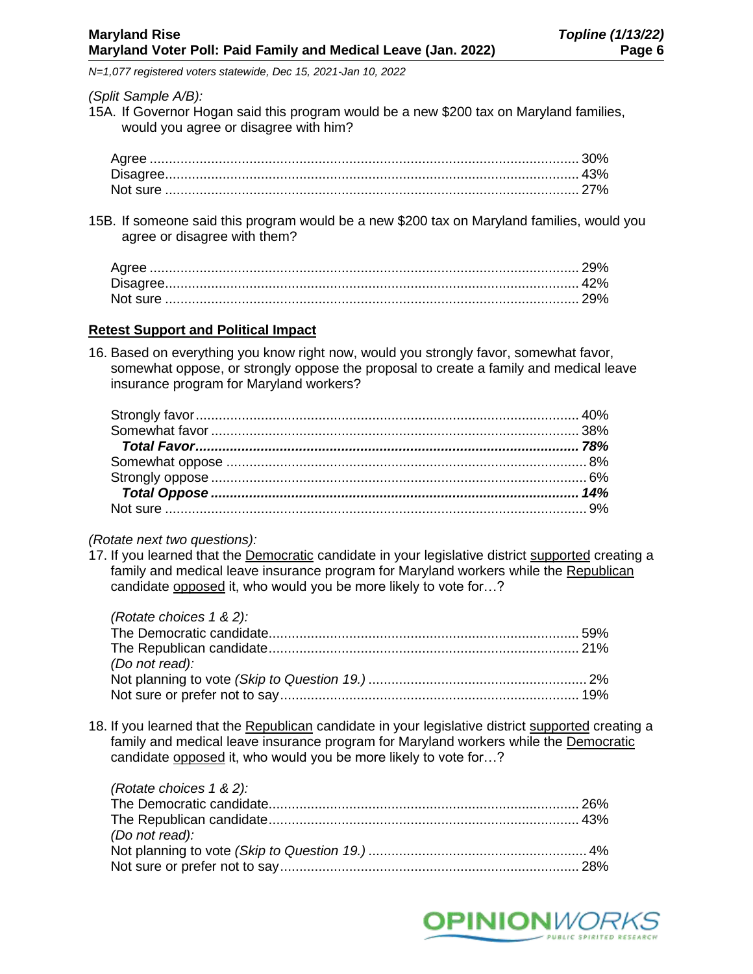### *(Split Sample A/B):*

15A. If Governor Hogan said this program would be a new \$200 tax on Maryland families, would you agree or disagree with him?

15B. If someone said this program would be a new \$200 tax on Maryland families, would you agree or disagree with them?

# **Retest Support and Political Impact**

16. Based on everything you know right now, would you strongly favor, somewhat favor, somewhat oppose, or strongly oppose the proposal to create a family and medical leave insurance program for Maryland workers?

## *(Rotate next two questions):*

17. If you learned that the Democratic candidate in your legislative district supported creating a family and medical leave insurance program for Maryland workers while the Republican candidate opposed it, who would you be more likely to vote for…?

| (Rotate choices $1 \& 2$ ): |  |
|-----------------------------|--|
|                             |  |
|                             |  |
| (Do not read):              |  |
|                             |  |
|                             |  |

18. If you learned that the Republican candidate in your legislative district supported creating a family and medical leave insurance program for Maryland workers while the Democratic candidate opposed it, who would you be more likely to vote for...?

| (Rotate choices 1 & 2): |  |
|-------------------------|--|
|                         |  |
|                         |  |
| (Do not read):          |  |
|                         |  |
|                         |  |

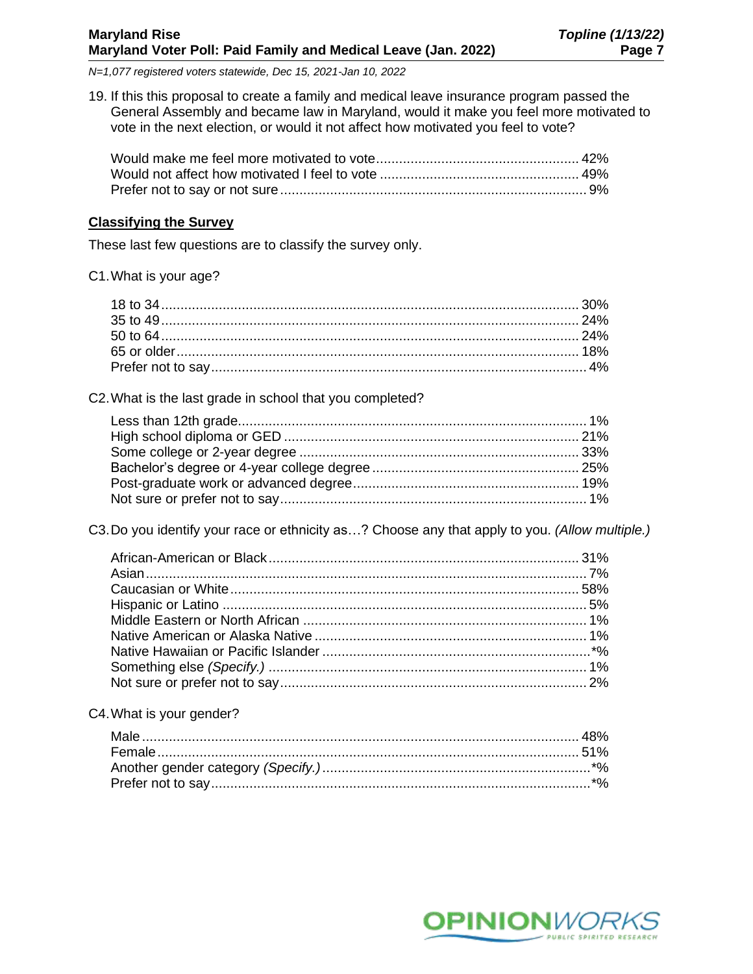19. If this this proposal to create a family and medical leave insurance program passed the General Assembly and became law in Maryland, would it make you feel more motivated to vote in the next election, or would it not affect how motivated you feel to vote?

# **Classifying the Survey**

These last few questions are to classify the survey only.

C1.What is your age?

C2.What is the last grade in school that you completed?

C3.Do you identify your race or ethnicity as…? Choose any that apply to you. *(Allow multiple.)*

#### C4.What is your gender?